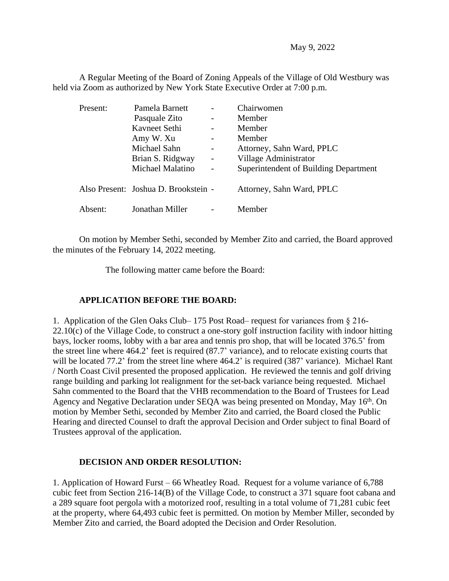May 9, 2022

A Regular Meeting of the Board of Zoning Appeals of the Village of Old Westbury was held via Zoom as authorized by New York State Executive Order at 7:00 p.m.

| Present: | Pamela Barnett                       |                          | Chairwomen                            |
|----------|--------------------------------------|--------------------------|---------------------------------------|
|          | Pasquale Zito                        | $\qquad \qquad -$        | Member                                |
|          | Kavneet Sethi                        | $\overline{\phantom{0}}$ | Member                                |
|          | Amy W. Xu                            |                          | Member                                |
|          | Michael Sahn                         | -                        | Attorney, Sahn Ward, PPLC             |
|          | Brian S. Ridgway                     | $\overline{\phantom{a}}$ | Village Administrator                 |
|          | Michael Malatino                     |                          | Superintendent of Building Department |
|          | Also Present: Joshua D. Brookstein - |                          | Attorney, Sahn Ward, PPLC             |
| Absent:  | Jonathan Miller                      |                          | Member                                |

On motion by Member Sethi, seconded by Member Zito and carried, the Board approved the minutes of the February 14, 2022 meeting.

The following matter came before the Board:

## **APPLICATION BEFORE THE BOARD:**

1. Application of the Glen Oaks Club– 175 Post Road– request for variances from § 216-  $22.10(c)$  of the Village Code, to construct a one-story golf instruction facility with indoor hitting bays, locker rooms, lobby with a bar area and tennis pro shop, that will be located 376.5' from the street line where 464.2' feet is required (87.7' variance), and to relocate existing courts that will be located 77.2' from the street line where 464.2' is required (387' variance). Michael Rant / North Coast Civil presented the proposed application. He reviewed the tennis and golf driving range building and parking lot realignment for the set-back variance being requested. Michael Sahn commented to the Board that the VHB recommendation to the Board of Trustees for Lead Agency and Negative Declaration under SEQA was being presented on Monday, May 16<sup>th</sup>. On motion by Member Sethi, seconded by Member Zito and carried, the Board closed the Public Hearing and directed Counsel to draft the approval Decision and Order subject to final Board of Trustees approval of the application.

## **DECISION AND ORDER RESOLUTION:**

1. Application of Howard Furst – 66 Wheatley Road. Request for a volume variance of 6,788 cubic feet from Section 216-14(B) of the Village Code, to construct a 371 square foot cabana and a 289 square foot pergola with a motorized roof, resulting in a total volume of 71,281 cubic feet at the property, where 64,493 cubic feet is permitted. On motion by Member Miller, seconded by Member Zito and carried, the Board adopted the Decision and Order Resolution.